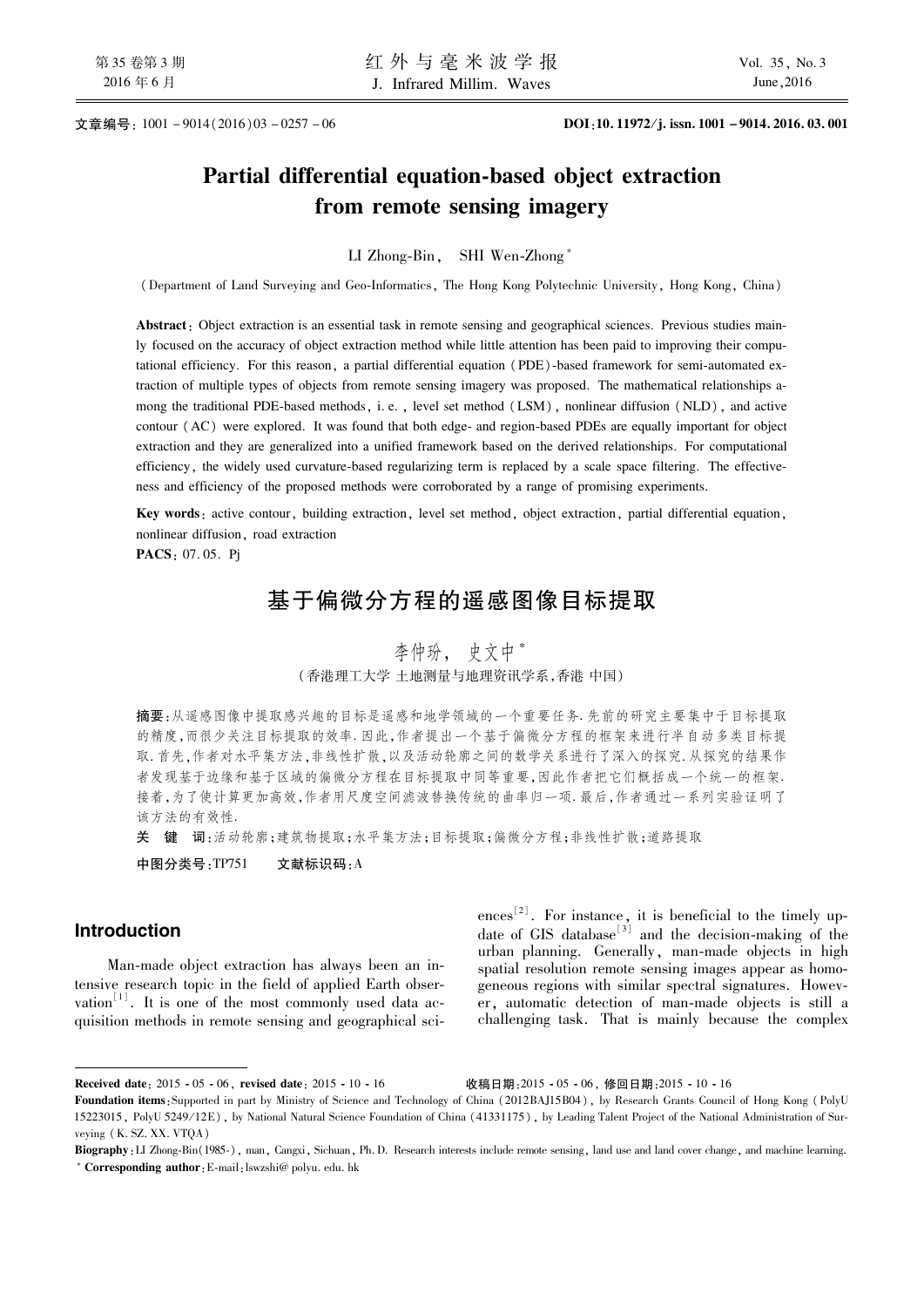文章编号: 1001-9014(2016)03-0257-06

# Partial differential equation-based object extraction from remote sensing imagery

LI Zhong-Bin, SHI Wen-Zhong\*

(Department of Land Surveying and Geo-Informatics, The Hong Kong Polytechnic University, Hong Kong, China)

Abstract: Object extraction is an essential task in remote sensing and geographical sciences. Previous studies mainly focused on the accuracy of object extraction method while little attention has been paid to improving their computational efficiency. For this reason, a partial differential equation (PDE)-based framework for semi-automated extraction of multiple types of objects from remote sensing imagery was proposed. The mathematical relationships among the traditional PDE-based methods, i.e., level set method (LSM), nonlinear diffusion (NLD), and active contour (AC) were explored. It was found that both edge- and region-based PDEs are equally important for object extraction and they are generalized into a unified framework based on the derived relationships. For computational efficiency, the widely used curvature-based regularizing term is replaced by a scale space filtering. The effectiveness and efficiency of the proposed methods were corroborated by a range of promising experiments.

Key words: active contour, building extraction, level set method, object extraction, partial differential equation, nonlinear diffusion, road extraction

PACS: 07.05. Pi

# 基于偏微分方程的遥感图像目标提取

# 李仲玢, 史文中\* (香港理工大学 土地测量与地理资讯学系,香港 中国)

摘要:从遥感图像中提取感兴趣的目标是遥感和地学领域的一个重要任务 先前的研究主要集中于目标提取 的精度,而很少关注目标提取的效率. 因此,作者提出一个基于偏微分方程的框架来进行半自动多类目标提 取. 首先,作者对水平集方法,非线性扩散,以及活动轮廓之间的数学关系进行了深入的探究. 从探究的结果作 者发现基于边缘和基于区域的偏微分方程在目标提取中同等重要,因此作者把它们概括成一个统一的框架. 接着,为了使计算更加高效,作者用尺度空间滤波替换传统的曲率归一项. 最后,作者通过一系列实验证明了 该方法的有效性.

关 键 词:活动轮廓;建筑物提取;水平集方法;目标提取;偏微分方程;非线性扩散;道路提取

中图分类号:TP751 文献标识码:A

## **Introduction**

Man-made object extraction has always been an intensive research topic in the field of applied Earth observation  $\mathbb{R}^{1}$ . It is one of the most commonly used data acquisition methods in remote sensing and geographical sciences<sup>[2]</sup>. For instance, it is beneficial to the timely up-<br>date of GIS database<sup>[3]</sup> and the decision-making of the urban planning. Generally, man-made objects in high spatial resolution remote sensing images appear as homogeneous regions with similar spectral signatures. However, automatic detection of man-made objects is still a challenging task. That is mainly because the complex

收稿日期: 2015 - 05 - 06, 修回日期: 2015 - 10 - 16

Received date: 2015 - 05 - 06, revised date: 2015 - 10 - 16

Foundation items: Supported in part by Ministry of Science and Technology of China (2012BAJ15B04), by Research Grants Council of Hong Kong (PolyU 15223015, PolyU 5249/12E), by National Natural Science Foundation of China (41331175), by Leading Talent Project of the National Administration of Surveying (K. SZ. XX. VTOA)

Biography: LI Zhong-Bin(1985-), man, Cangxi, Sichuan, Ph.D. Research interests include remote sensing, land use and land cover change, and machine learning. \* Corresponding author: E-mail: lswzshi@ polyu. edu. hk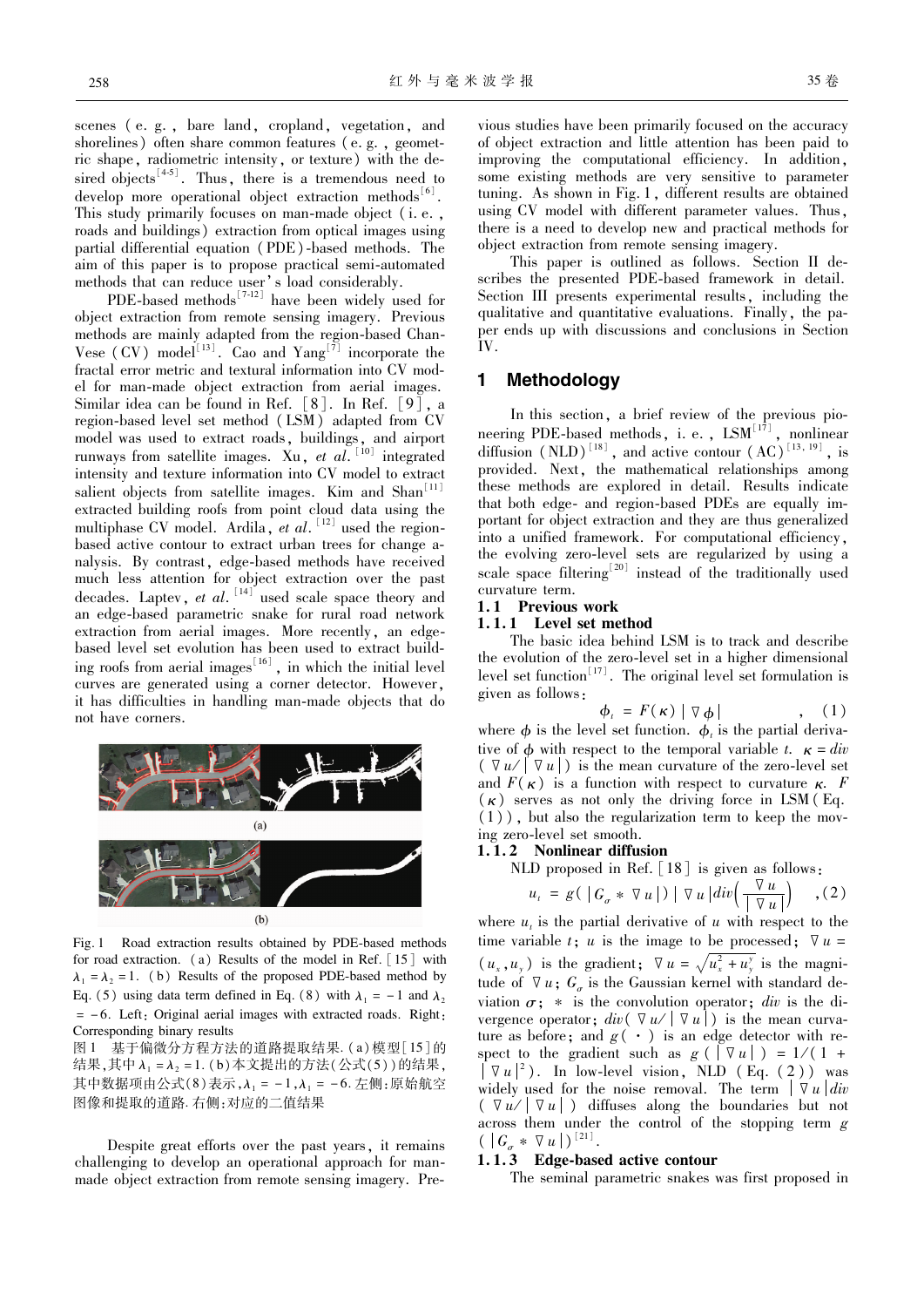scenes (e.g., bare land, cropland, vegetation, and shorelines) often share common features (e.g., geometric shape, radiometric intensity, or texture) with the desired objects<sup>[45]</sup>. Thus, there is a tremendous need to develop more operational object extraction methods<sup>[6]</sup>. This study primarily focuses on man-made object (i.e., roads and buildings) extraction from optical images using partial differential equation (PDE)-based methods. The aim of this paper is to propose practical semi-automated methods that can reduce user's load considerably.

PDE-based methods<sup> $[7-12]$ </sup> have been widely used for object extraction from remote sensing imagery. Previous methods are mainly adapted from the region-based Chan-Vese (CV) model<sup>[13]</sup>. Cao and  $Yang^{[7]}$  incorporate the fractal error metric and textural information into CV model for man-made object extraction from aerial images. Similar idea can be found in Ref.  $\lceil 8 \rceil$ . In Ref.  $\lceil 9 \rceil$ , a region-based level set method (LSM) adapted from CV model was used to extract roads, buildings, and airport runways from satellite images. Xu, et al.  $^{[10]}$  integrated intensity and texture information into CV model to extract salient objects from satellite images. Kim and  $Shan<sup>[11]</sup>$ extracted building roofs from point cloud data using the multiphase CV model. Ardila, et al.  $[12]$  used the regionbased active contour to extract urban trees for change analysis. By contrast, edge-based methods have received much less attention for object extraction over the past decades. Laptev, *et al.*  $[14]$ <sup> $\checkmark$ </sup> used scale space theory and an edge-based parametric snake for rural road network extraction from aerial images. More recently, an edgebased level set evolution has been used to extract building roofs from aerial images<sup>[16]</sup>, in which the initial level curves are generated using a corner detector. However, it has difficulties in handling man-made objects that do not have corners.



Fig. 1 Road extraction results obtained by PDE-based methods for road extraction. (a) Results of the model in Ref.  $[15]$  with  $\lambda_1 = \lambda_2 = 1$ . (b) Results of the proposed PDE-based method by Eq. (5) using data term defined in Eq. (8) with  $\lambda_1 = -1$  and  $\lambda_2$  $= -6$ . Left: Original aerial images with extracted roads. Right: Corresponding binary results

图1 基于偏微分方程方法的道路提取结果. (a)模型 [15] 的 结果,其中 $\lambda_1$  =  $\lambda_2$  = 1. (b) 本文提出的方法(公式(5))的结果, 其中数据项由公式(8)表示, $\lambda_1 = -1, \lambda_2 = -6$ . 左侧:原始航空 图像和提取的道路. 右侧:对应的二值结果

Despite great efforts over the past years, it remains challenging to develop an operational approach for manmade object extraction from remote sensing imagery. Previous studies have been primarily focused on the accuracy of object extraction and little attention has been paid to improving the computational efficiency. In addition, some existing methods are very sensitive to parameter tuning. As shown in Fig. 1, different results are obtained using CV model with different parameter values. Thus, there is a need to develop new and practical methods for object extraction from remote sensing imagery.

This paper is outlined as follows. Section II describes the presented PDE-based framework in detail. Section III presents experimental results, including the qualitative and quantitative evaluations. Finally, the paper ends up with discussions and conclusions in Section  $\bar{I}V$ 

## 1 Methodology

In this section, a brief review of the previous pioneering PDE-based methods, i. e., LSM<sup>[17]</sup>, nonlinear diffusion (NLD)<sup>[18]</sup>, and active contour (AC)<sup>[13, 19]</sup>, is provided. Next, the mathematical relationships among these methods are explored in detail. Results indicate that both edge- and region-based PDEs are equally important for object extraction and they are thus generalized into a unified framework. For computational efficiency, the evolving zero-level sets are regularized by using a scale space filtering<sup>[20]</sup> instead of the traditionally used curvature term.

## 1.1 Previous work

## 1.1.1 Level set method

The basic idea behind LSM is to track and describe the evolution of the zero-level set in a higher dimensional level set function<sup>[17]</sup>. The original level set formulation is given as follows:

$$
\phi_{\iota} = F(\kappa) | \nabla \phi | \qquad , \quad (1)
$$

where  $\phi$  is the level set function.  $\phi_i$  is the partial derivative of  $\phi$  with respect to the temporal variable t.  $\kappa = div$  $(\nabla u/|\nabla u|)$  is the mean curvature of the zero-level set and  $F(\kappa)$  is a function with respect to curvature  $\kappa$ . F  $(\kappa)$  serves as not only the driving force in LSM (Eq.  $(1)$ ), but also the regularization term to keep the moving zero-level set smooth.

### 1.1.2 Nonlinear diffusion

NLD proposed in Ref. [18] is given as follows:

$$
u_{\iota} = g(|G_{\sigma} * \nabla u|) | \nabla u| div \left( \frac{\nabla u}{|\nabla u|} \right) , (2)
$$

where  $u_t$  is the partial derivative of u with respect to the time variable t; u is the image to be processed;  $\nabla u =$  $(u_x, u_y)$  is the gradient;  $\nabla u = \sqrt{u_x^2 + u_y^2}$  is the magnitude of  $\nabla u$ ;  $G_a$  is the Gaussian kernel with standard deviation  $\sigma$ ; \* is the convolution operator; *div* is the divergence operator;  $div(\nabla u/|\nabla u|)$  is the mean curvature as before; and  $g(\cdot)$  is an edge detector with respect to the gradient such as  $g(\vert \nabla u \vert) = 1/(1 +$  $\nabla u|^2$ ). In low-level vision, NLD (Eq. (2)) was widely used for the noise removal. The term  $|\nabla u|$  div  $(\nabla u / |\nabla u|)$  diffuses along the boundaries but not across them under the control of the stopping term  $g$  $( |G_{\sigma} * \nabla u|)^{[21]}$ .

### 1.1.3 Edge-based active contour

The seminal parametric snakes was first proposed in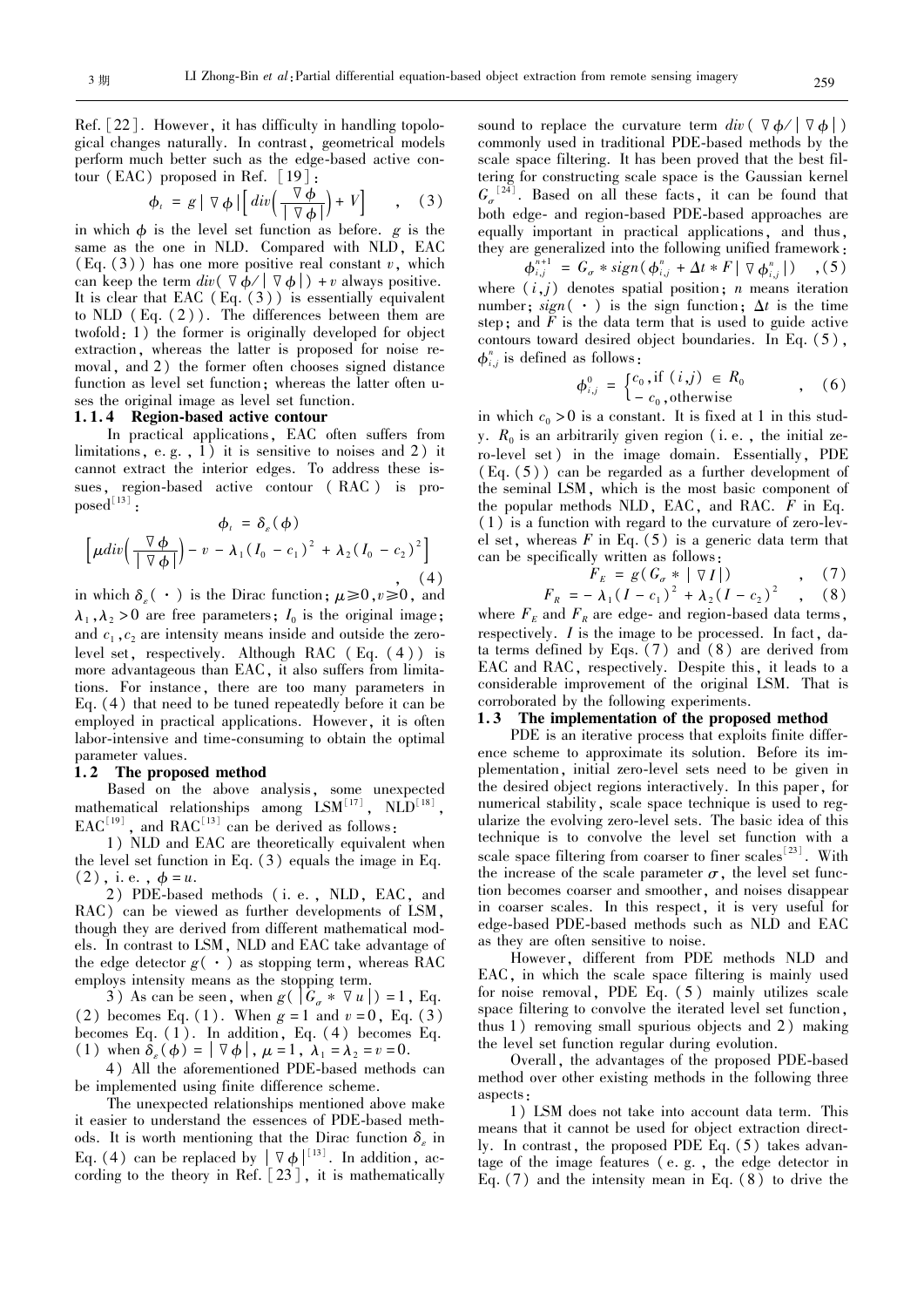Ref.  $[22]$ . However, it has difficulty in handling topological changes naturally. In contrast, geometrical models perform much better such as the edge-based active contour (EAC) proposed in Ref.  $\lceil 19 \rceil$ :

$$
\phi_{t} = g \mid \nabla \phi \mid \left[ \operatorname{div} \left( \frac{\nabla \phi}{\mid \nabla \phi \mid} \right) + V \right] \quad , \quad (3)
$$

in which  $\phi$  is the level set function as before.  $g$  is the same as the one in NLD. Compared with NLD, EAC  $(Eq. (3))$  has one more positive real constant v, which can keep the term  $div(\nabla \phi / |\nabla \phi|) + v$  always positive. It is clear that EAC  $(Eq. (3))$  is essentially equivalent to NLD  $(Eq. (2))$ . The differences between them are  $twofold: 1$ ) the former is originally developed for object extraction, whereas the latter is proposed for noise removal, and 2) the former often chooses signed distance function as level set function; whereas the latter often uses the original image as level set function.

### 1.1.4 Region-based active contour

In practical applications, EAC often suffers from limitations, e.g.,  $\overline{1}$  it is sensitive to noises and 2) it cannot extract the interior edges. To address these issues, region-based active contour (RAC) is pro- $\mathrm{posed}^{\left[ \,13\, \right] }$  :

$$
\phi_t = \delta_s(\phi)
$$
  
\n
$$
\left[\mu \operatorname{div}\left(\frac{\nabla \phi}{|\nabla \phi|}\right) - v - \lambda_1 (I_0 - c_1)^2 + \lambda_2 (I_0 - c_2)^2\right]
$$
\n(4)

in which  $\delta_{s}(\cdot)$  is the Dirac function;  $\mu \geq 0, v \geq 0$ , and  $\lambda_1$ ,  $\lambda_2$  > 0 are free parameters;  $I_0$  is the original image; and  $c_1$ ,  $c_2$  are intensity means inside and outside the zerolevel set, respectively. Although RAC  $(Eq. (4))$  is more advantageous than EAC, it also suffers from limitations. For instance, there are too many parameters in Eq.  $(4)$  that need to be tuned repeatedly before it can be employed in practical applications. However, it is often labor-intensive and time-consuming to obtain the optimal parameter values.

### 1.2 The proposed method

Based on the above analysis, some unexpected mathematical relationships among  $\text{LSM}^{[17]}$  ,  $\text{NLD}^{[18]}$  ,  $\text{EAC}^{[19]}$ , and  $\text{RAC}^{[13]}$  can be derived as follows:

1) NLD and EAC are theoretically equivalent when the level set function in Eq.  $(3)$  equals the image in Eq.  $(2)$ , i.e.,  $\phi = u$ .

2) PDE-based methods (i. e., NLD, EAC, and RAC) can be viewed as further developments of LSM, though they are derived from different mathematical models. In contrast to LSM, NLD and EAC take advantage of the edge detector  $g(\cdot)$  as stopping term, whereas RAC employs intensity means as the stopping term.

3) As can be seen, when  $g([G_{\sigma} * \nabla u]) = 1$ , Eq. (2) becomes Eq. (1). When  $g = 1$  and  $v = 0$ , Eq. (3) becomes Eq.  $(1)$ . In addition, Eq.  $(4)$  becomes Eq. (1) when  $\delta_{\varepsilon}(\phi) = |\nabla \phi|$ ,  $\mu = 1$ ,  $\lambda_1 = \lambda_2 = v = 0$ .

4) All the aforementioned PDE-based methods can be implemented using finite difference scheme.

The unexpected relationships mentioned above make it easier to understand the essences of PDE-based methods. It is worth mentioning that the Dirac function  $\delta_{\varepsilon}$  in Eq. (4) can be replaced by  $| \nabla \phi |^{[13]}$ . In addition, according to the theory in Ref.  $[23]$ , it is mathematically

sound to replace the curvature term  $div(\nabla \phi / |\nabla \phi|)$ commonly used in traditional PDE-based methods by the scale space filtering. It has been proved that the best filtering for constructing scale space is the Gaussian kernel  $G_{\sigma}^{[24]}$ . Based on all these facts, it can be found that both edge- and region-based PDE-based approaches are equally important in practical applications, and thus, they are generalized into the following unified framework:

 $\phi_{i,j}^{n+1} = G_{\sigma} * sign(\phi_{i,j}^{n} + \Delta t * F | \nabla \phi_{i,j}^{n}|)$  , (5) where  $(i,j)$  denotes spatial position; *n* means iteration number;  $sign( )$  is the sign function;  $\Delta t$  is the time step: and  $\overline{F}$  is the data term that is used to guide active contours toward desired object boundaries. In Eq.  $(5)$ ,  $\phi_{i,j}^n$  is defined as follows:

$$
\phi_{i,j}^0 = \begin{cases} c_0, \text{if } (i,j) \in R_0 \\ -c_0, \text{otherwise} \end{cases}
$$
, (6)

in which  $c_0 > 0$  is a constant. It is fixed at 1 in this study.  $R_0$  is an arbitrarily given region (i.e., the initial zero-level set) in the image domain. Essentially, PDE  $(Eq. (5))$  can be regarded as a further development of the seminal LSM, which is the most basic component of the popular methods NLD, EAC, and RAC.  $\bar{F}$  in Eq.  $(1)$  is a function with regard to the curvature of zero-level set, whereas  $F$  in Eq. (5) is a generic data term that can be specifically written as follows:

$$
F_E = g(G_{\sigma} * | \nabla I|) \tag{7}
$$

$$
F_R = -\lambda_1 (I - c_1)^2 + \lambda_2 (I - c_2)^2 \quad , \quad (8)
$$

where  $F<sub>E</sub>$  and  $F<sub>R</sub>$  are edge- and region-based data terms, respectively.  $I$  is the image to be processed. In fact, data terms defined by Eqs.  $(7)$  and  $(8)$  are derived from EAC and RAC, respectively. Despite this, it leads to a considerable improvement of the original LSM. That is corroborated by the following experiments.

#### 1.3 The implementation of the proposed method

PDE is an iterative process that exploits finite difference scheme to approximate its solution. Before its implementation, initial zero-level sets need to be given in the desired object regions interactively. In this paper, for numerical stability, scale space technique is used to regularize the evolving zero-level sets. The basic idea of this technique is to convolve the level set function with a scale space filtering from coarser to finer scales  $[23]$ . With the increase of the scale parameter  $\sigma$ , the level set function becomes coarser and smoother, and noises disappear in coarser scales. In this respect, it is very useful for edge-based PDE-based methods such as NLD and EAC as they are often sensitive to noise.

However, different from PDE methods NLD and EAC, in which the scale space filtering is mainly used for noise removal, PDE Eq.  $(5)$  mainly utilizes scale space filtering to convolve the iterated level set function, thus  $1$ ) removing small spurious objects and  $2$ ) making the level set function regular during evolution.

Overall, the advantages of the proposed PDE-based method over other existing methods in the following three aspects:

1) LSM does not take into account data term. This means that it cannot be used for object extraction directly. In contrast, the proposed PDE  $Eq. (5)$  takes advantage of the image features (e.g., the edge detector in Eq.  $(7)$  and the intensity mean in Eq.  $(8)$  to drive the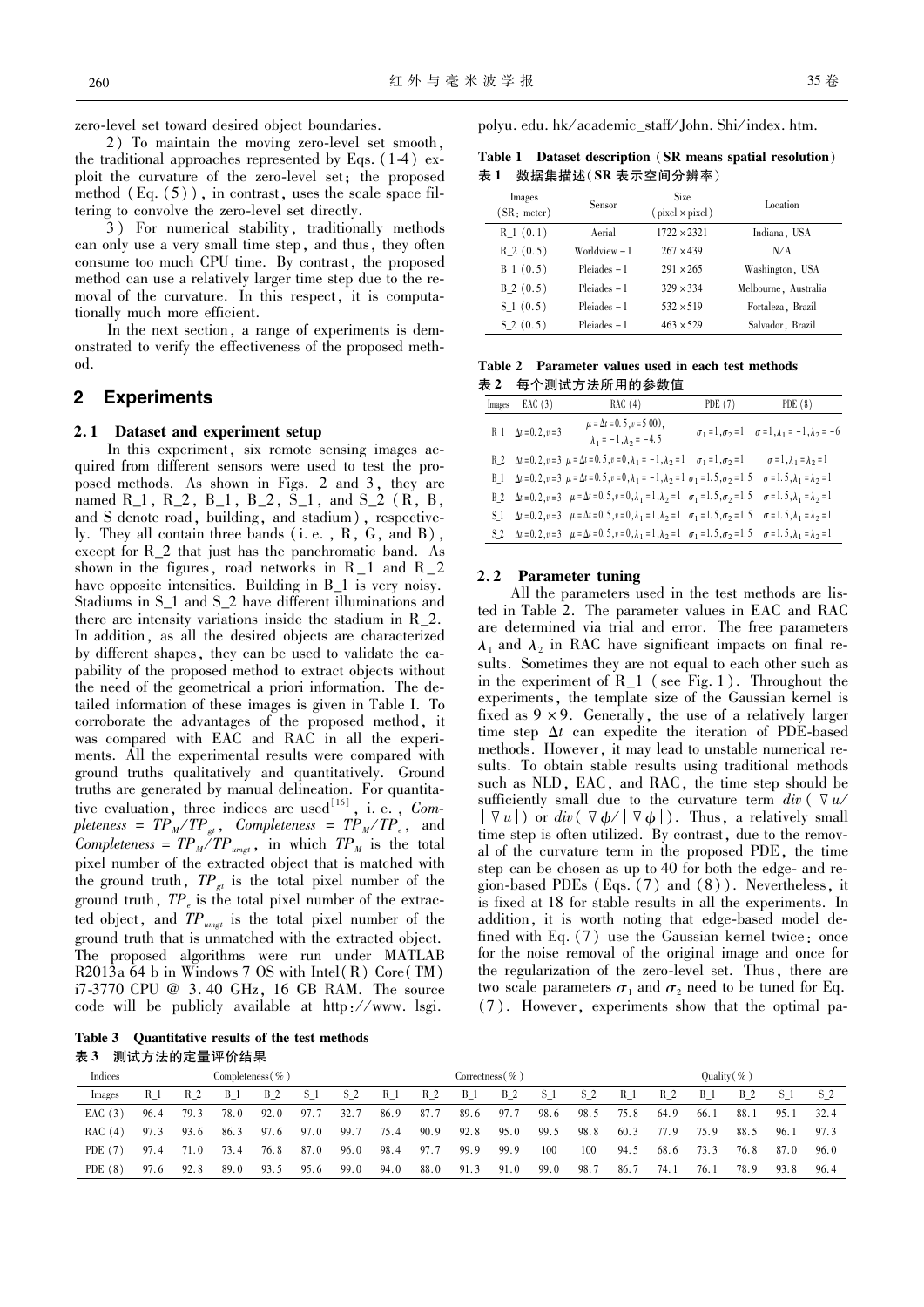zero-level set toward desired object boundaries.

2) To maintain the moving zero-level set smooth, the traditional approaches represented by Eqs.  $(1-4)$  exploit the curvature of the zero-level set; the proposed method  $(Eq. (5))$ , in contrast, uses the scale space filtering to convolve the zero-level set directly.

3) For numerical stability, traditionally methods can only use a very small time step, and thus, they often consume too much CPU time. By contrast, the proposed method can use a relatively larger time step due to the removal of the curvature. In this respect, it is computationally much more efficient.

In the next section, a range of experiments is demonstrated to verify the effectiveness of the proposed method.

#### **Experiments**  $\boldsymbol{2}$

#### Dataset and experiment setup  $2.1$

In this experiment, six remote sensing images acquired from different sensors were used to test the proposed methods. As shown in Figs. 2 and 3, they are named R<sub>1</sub>, R<sub>2</sub>, B<sub>1</sub>, B<sub>2</sub>, S<sub>1</sub>, and S<sub>2</sub> (R, B, and S denote road, building, and stadium), respectively. They all contain three bands  $(i.e., R, G, and B)$ , except for R\_2 that just has the panchromatic band. As shown in the figures, road networks in  $R_1$  and  $R_2$ have opposite intensities. Building in B\_1 is very noisy. Stadiums in S\_1 and S\_2 have different illuminations and there are intensity variations inside the stadium in  $R_2$ . In addition, as all the desired objects are characterized by different shapes, they can be used to validate the capability of the proposed method to extract objects without the need of the geometrical a priori information. The detailed information of these images is given in Table I. To corroborate the advantages of the proposed method, it was compared with EAC and RAC in all the experiments. All the experimental results were compared with ground truths qualitatively and quantitatively. Ground truths are generated by manual delineation. For quantitative evaluation, three indices are used<sup>[16]</sup>, i. e., *Completeness* =  $TP_M/TP_{\epsilon}$ , *Completeness* =  $TP_M/TP_{\epsilon}$ , and Completeness =  $TP_M/TP_{unget}$ , in which  $TP_M$  is the total pixel number of the extracted object that is matched with the ground truth,  $TP_{gt}$  is the total pixel number of the ground truth,  $TP_{\rho}$  is the total pixel number of the extracted object, and  $TP_{\text{unget}}$  is the total pixel number of the ground truth that is unmatched with the extracted object. The proposed algorithms were run under MATLAB R2013a 64 b in Windows 7 OS with Intel  $(R)$  Core  $(TM)$ i7-3770 CPU @ 3.40 GHz, 16 GB RAM. The source code will be publicly available at http://www.lsgi.

polyu. edu. hk/academic\_staff/John. Shi/index. htm.

Table 1 Dataset description (SR means spatial resolution) 表 1 数据集描述(SR 表示空间分辨率)

| Images<br>$(SR:$ meter) | Sensor         | <b>Size</b><br>$(pixel \times pixel)$ | Location             |
|-------------------------|----------------|---------------------------------------|----------------------|
| $R_1(0.1)$              | Aerial         | $1722 \times 2321$                    | Indiana, USA         |
| $R_2(0.5)$              | Worldview – 1  | $267 \times 439$                      | N/A                  |
| $B_1(0.5)$              | $Pleiades - 1$ | $291 \times 265$                      | Washington, USA      |
| $B\ 2\ (0.5)$           | $Pleiades - 1$ | $329 \times 334$                      | Melbourne, Australia |
| $S_1(0.5)$              | $Pleiades - 1$ | $532 \times 519$                      | Fortaleza, Brazil    |
| S(2(0.5))               | $Pleiades - 1$ | $463 \times 529$                      | Salvador, Brazil     |

|  | Table 2 Parameter values used in each test methods |  |  |  |
|--|----------------------------------------------------|--|--|--|
|  | 表2 每个测试方法所用的参数值                                    |  |  |  |

| Images EAC (3)                | RAC(4)                                                                                                                                                                                | PDE $(7)$ PDE $(8)$                                                       |
|-------------------------------|---------------------------------------------------------------------------------------------------------------------------------------------------------------------------------------|---------------------------------------------------------------------------|
| $R_1$ $\Delta t = 0.2, v = 3$ | $\mu = \Delta t = 0.5$ , $v = 5000$ ,<br>$\lambda_1=-1\,,\lambda_2=-4.\,5$                                                                                                            | $\sigma_1 = 1, \sigma_2 = 1$ $\sigma = 1, \lambda_1 = -1, \lambda_2 = -6$ |
|                               | R_2 $\Delta t = 0$ , 2, $v = 3$ $\mu = \Delta t = 0$ , 5, $v = 0$ , $\lambda_1 = -1$ , $\lambda_2 = 1$ $\sigma_1 = 1$ , $\sigma_2 = 1$                                                | $\sigma = 1$ , $\lambda_1 = \lambda_2 = 1$                                |
|                               | B_1 $\Delta t = 0$ , 2, $v = 3$ $\mu = \Delta t = 0$ , 5, $v = 0$ , $\lambda_1 = -1$ , $\lambda_2 = 1$ $\sigma_1 = 1$ , 5, $\sigma_2 = 1$ , 5                                         | $\sigma$ = 1.5, $\lambda_1$ = $\lambda_2$ = 1                             |
|                               | B_2 $\Delta t = 0.2, v = 3$ $\mu = \Delta t = 0.5, v = 0, \lambda_1 = 1, \lambda_2 = 1$ $\sigma_1 = 1.5, \sigma_2 = 1.5$ $\sigma = 1.5, \lambda_1 = \lambda_2 = 1$                    |                                                                           |
|                               | S_1 $\Delta t = 0$ , 2, $v = 3$ $\mu = \Delta t = 0.5$ , $v = 0$ , $\lambda_1 = 1$ , $\lambda_2 = 1$ $\sigma_1 = 1.5$ , $\sigma_2 = 1.5$ $\sigma = 1.5$ , $\lambda_1 = \lambda_2 = 1$ |                                                                           |
|                               | S_2 $\Delta t = 0.2, v = 3$ $\mu = \Delta t = 0.5, v = 0, \lambda_1 = 1, \lambda_2 = 1$ $\sigma_1 = 1.5, \sigma_2 = 1.5$ $\sigma = 1.5, \lambda_1 = \lambda_2 = 1$                    |                                                                           |

### 2.2 Parameter tuning

All the parameters used in the test methods are listed in Table 2. The parameter values in EAC and RAC are determined via trial and error. The free parameters  $\lambda_1$  and  $\lambda_2$  in RAC have significant impacts on final results. Sometimes they are not equal to each other such as in the experiment of  $R_1$  (see Fig. 1). Throughout the experiments, the template size of the Gaussian kernel is fixed as  $9 \times 9$ . Generally, the use of a relatively larger time step  $\Delta t$  can expedite the iteration of PDE-based methods. However, it may lead to unstable numerical results. To obtain stable results using traditional methods such as NLD, EAC, and RAC, the time step should be sufficiently small due to the curvature term div  $\left( \nabla u \right)$  $|\nabla u|$  or  $div(\nabla \phi/|\nabla \phi|)$ . Thus, a relatively small time step is often utilized. By contrast, due to the removal of the curvature term in the proposed PDE, the time step can be chosen as up to 40 for both the edge- and region-based PDEs (Eqs.  $(7)$  and  $(8)$ ). Nevertheless, it is fixed at 18 for stable results in all the experiments. In addition, it is worth noting that edge-based model defined with Eq.  $(7)$  use the Gaussian kernel twice: once for the noise removal of the original image and once for the regularization of the zero-level set. Thus, there are two scale parameters  $\sigma_1$  and  $\sigma_2$  need to be tuned for Eq. (7). However, experiments show that the optimal pa-

Table 3 Quantitative results of the test methods 表 3 测试方法的定量评价结果

| Indices   | Completeness $(\% )$ |      |            |       | Correctness $(\% )$ |       |       |       |       | Quality $(\% )$ |       |       |      |       |       |      |      |      |
|-----------|----------------------|------|------------|-------|---------------------|-------|-------|-------|-------|-----------------|-------|-------|------|-------|-------|------|------|------|
| Images    | $R_1$                | R 2  | <b>B</b> 1 | $B_2$ | $S_1$               | $S_2$ | $R_1$ | $R_2$ | $B_1$ | $B_2$           | $S_1$ | $S_2$ | R 1  | $R_2$ | $B_1$ | B 2  |      | S 2  |
| EAC(3)    | 96.4                 | 79.3 | 78.0       | 92.0  | 97.7                | 32.7  | 86.9  | 87.7  | 89.6  | 97.7            | 98.6  | 98.5  | 75.8 | 64.9  | 66.1  | 88.1 | 95.1 | 32.4 |
| RAC(4)    | 97.3                 | 93.6 | 86.3       | 97.6  | 97.0                | 99.7  | 75.4  | 90.9  | 92.8  | 95.0            | 99.5  | 98.8  | 60.3 | 77.9  | 75.9  | 88.5 | 96.1 | 97.3 |
| PDE $(7)$ | 97.4                 | 71.0 | 73.4       | 76.8  | 87.0                | 96.0  | 98.4  | 97.7  | 99.9  | 99.9            | 100   | 100   | 94.5 | 68.6  | 73.3  | 76.8 | 87.0 | 96.0 |
| PDE $(8)$ | 97.6                 | 92.8 | 89.0       | 93.5  | 95.6                | 99.0  | 94.0  | 88.0  | 91.3  | 91.0            | 99.0  | 98.7  | 86.7 | 74.1  | 76.1  | 78.9 | 93.8 | 96.4 |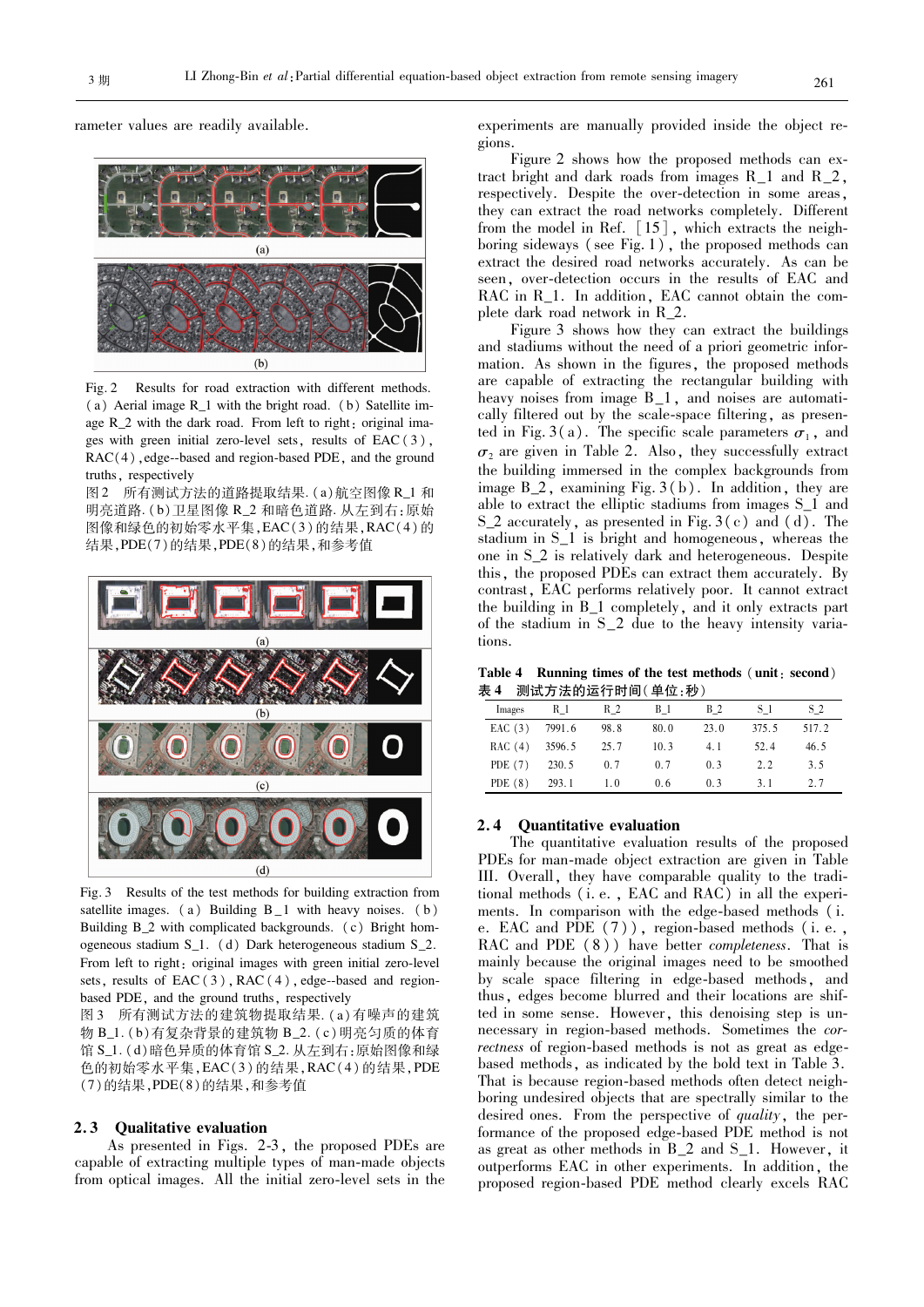rameter values are readily available.



Fig. 2 Results for road extraction with different methods. (a) Aerial image R 1 with the bright road. (b) Satellite image R 2 with the dark road. From left to right: original images with green initial zero-level sets, results of  $EAC(3)$ ,  $RAC(4)$ , edge-based and region-based PDE, and the ground truths, respectively

图 2 所有测试方法的道路提取结果. (a) 航空图像 R\_1 和 明亮道路. (b)卫星图像 R\_2 和暗色道路. 从左到右:原始 图像和绿色的初始零水平集, EAC(3)的结果, RAC(4)的 结果, PDE(7)的结果, PDE(8)的结果, 和参考值



Fig. 3 Results of the test methods for building extraction from satellite images.  $(a)$  Building  $B_1$  with heavy noises.  $(b)$ Building B 2 with complicated backgrounds. (c) Bright homogeneous stadium  $S_1$ . (d) Dark heterogeneous stadium  $S_2$ . From left to right: original images with green initial zero-level sets, results of  $EAC(3)$ ,  $RAC(4)$ , edge-based and regionbased PDE, and the ground truths, respectively

图 3 所有测试方法的建筑物提取结果. (a) 有噪声的建筑 物 B\_1. (b)有复杂背景的建筑物 B\_2. (c) 明亮匀质的体育 馆 S\_1. (d)暗色异质的体育馆 S\_2. 从左到右:原始图像和绿 色的初始零水平集, EAC(3)的结果, RAC(4)的结果, PDE (7)的结果, PDE(8)的结果, 和参考值

#### $2.3$ **Qualitative evaluation**

As presented in Figs. 2-3, the proposed PDEs are capable of extracting multiple types of man-made objects from optical images. All the initial zero-level sets in the experiments are manually provided inside the object regions

Figure 2 shows how the proposed methods can extract bright and dark roads from images  $R_1$  and  $R_2$ , respectively. Despite the over-detection in some areas, they can extract the road networks completely. Different from the model in Ref. [15], which extracts the neighboring sideways (see Fig. 1), the proposed methods can extract the desired road networks accurately. As can be seen, over-detection occurs in the results of EAC and RAC in R\_1. In addition, EAC cannot obtain the complete dark road network in R\_2.

Figure 3 shows how they can extract the buildings and stadiums without the need of a priori geometric information. As shown in the figures, the proposed methods are capable of extracting the rectangular building with heavy noises from image B\_1, and noises are automatically filtered out by the scale-space filtering, as presented in Fig. 3(a). The specific scale parameters  $\sigma_1$ , and  $\sigma_2$  are given in Table 2. Also, they successfully extract the building immersed in the complex backgrounds from image  $B_2$ , examining Fig. 3(b). In addition, they are able to extract the elliptic stadiums from images S 1 and S 2 accurately, as presented in Fig.  $3(c)$  and  $(d)$ . The stadium in  $S_1$  is bright and homogeneous, whereas the one in S 2 is relatively dark and heterogeneous. Despite this, the proposed PDEs can extract them accurately. By contrast, EAC performs relatively poor. It cannot extract the building in B\_1 completely, and it only extracts part of the stadium in S\_2 due to the heavy intensity variations.

Table 4 Running times of the test methods (unit: second) 表 4 测试方法的运行时间(单位:秒)

| Images    | R 1    | R 2  | <b>B</b> 1 | <b>B</b> 2     | S 1   | S <sub>2</sub> |
|-----------|--------|------|------------|----------------|-------|----------------|
| EAC(3)    | 7991.6 | 98.8 | 80.0       | 23.0           | 375.5 | 517.2          |
| RAC(4)    | 3596.5 | 25.7 | 10.3       | 4.1            | 52.4  | 46.5           |
| PDE $(7)$ | 230.5  | 0.7  | 0.7        | 0 <sup>3</sup> | 2.2   | 3.5            |
| PDE $(8)$ | 293.1  | 1.0  | 0.6        | 0.3            | 31    | 2.7            |
|           |        |      |            |                |       |                |

### 2.4 Quantitative evaluation

The quantitative evaluation results of the proposed PDEs for man-made object extraction are given in Table III. Overall, they have comparable quality to the traditional methods (i.e., EAC and RAC) in all the experiments. In comparison with the edge-based methods (i. e. EAC and PDE  $(7)$ ), region-based methods (i.e., RAC and PDE (8)) have better *completeness*. That is mainly because the original images need to be smoothed by scale space filtering in edge-based methods, and thus, edges become blurred and their locations are shifted in some sense. However, this denoising step is unnecessary in region-based methods. Sometimes the correctness of region-based methods is not as great as edgebased methods, as indicated by the bold text in Table 3. That is because region-based methods often detect neighboring undesired objects that are spectrally similar to the desired ones. From the perspective of quality, the performance of the proposed edge-based PDE method is not as great as other methods in  $B_2$  and  $S_1$ . However, it outperforms EAC in other experiments. In addition, the proposed region-based PDE method clearly excels RAC